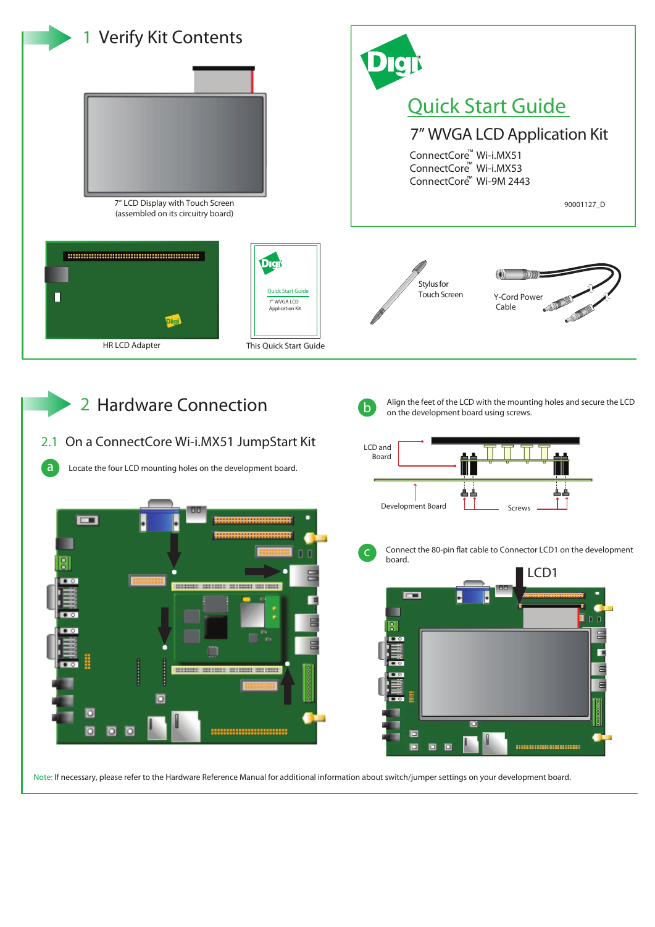







Connect the 80-pin flat cable to Connector LCD1 on the development



Note: If necessary, please refer to the Hardware Reference Manual for additional information about switch/jumper settings on your development board.